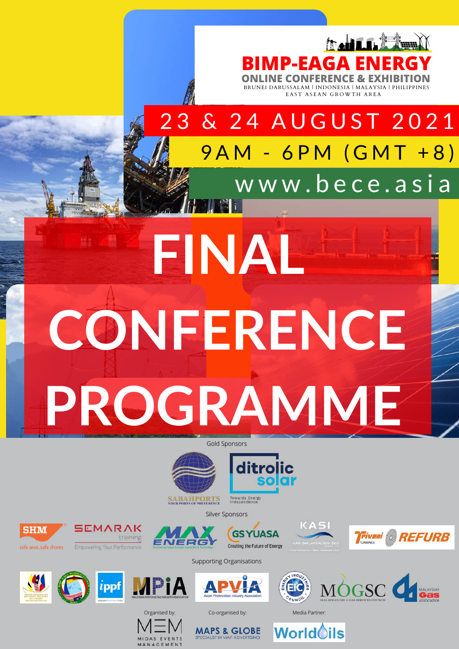

EAST ASEAN GROWTH AREA

3 & 24 AUGUST 2021 9 A M - 6 P M ( G M T + 8 ) www.bece.asia

# **FINAL CONFERENCE PROGRAMME**

Gold Sponsors



**SABAHPORTS**<br>YOUR PORTS OF PREFERENCE

Silver Sponsors





afe seas, safe shores





**GSYUASA** Creating the Future of Energy













Supporting Organisations







**MAPS & GLOBE** 

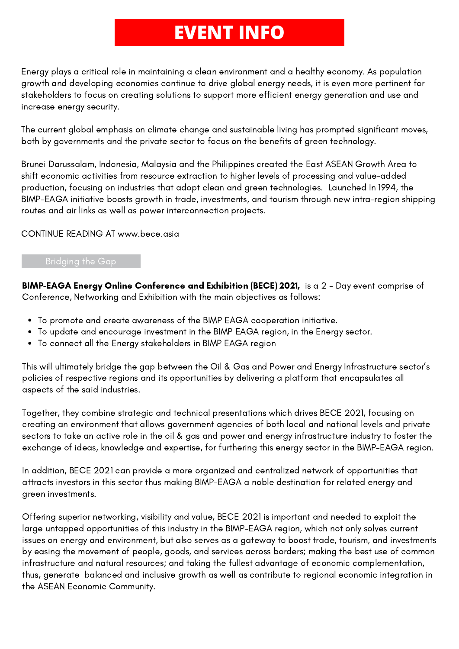### **EVENT INFO**

Energy plays a critical role in maintaining a clean environment and a healthy economy. As population growth and developing economies continue to drive global energy needs, it is even more pertinent for stakeholders to focus on creating solutions to support more efficient energy generation and use and increase energy security.

The current global emphasis on climate change and sustainable living has prompted significant moves, both by governments and the private sector to focus on the benefits of green technology.

Brunei Darussalam, Indonesia, Malaysia and the Philippines created the East ASEAN Growth Area to shift economic activities from resource extraction to higher levels of processing and value-added production, focusing on industries that adopt clean and green technologies. Launched In 1994, the BIMP-EAGA initiative boosts growth in trade, investments, and tourism through new intra-region shipping routes and air links as well as power interconnection projects.

CONTINUE READING AT www.bece.asia

### Bridging the Gap

BIMP-EAGA Energy Online Conference and Exhibition (BECE) 2021, is a 2 - Day event comprise of Conference, Networking and Exhibition with the main objectives as follows:

- To promote and create awareness of the BIMP EAGA cooperation initiative.
- To update and encourage investment in the BIMP EAGA region, in the Energy sector.
- To connect all the Energy stakeholders in BIMP EAGA region

This will ultimately bridge the gap between the Oil & Gas and Power and Energy Infrastructure sector's policies of respective regions and its opportunities by delivering a platform that encapsulates all aspects of the said industries.

Together, they combine strategic and technical presentations which drives BECE 2021, focusing on creating an environment that allows government agencies of both local and national levels and private sectors to take an active role in the oil & gas and power and energy infrastructure industry to foster the exchange of ideas, knowledge and expertise, for furthering this energy sector in the BIMP-EAGA region.

In addition, BECE 2021 can provide a more organized and centralized network of opportunities that attracts investors in this sector thus making BIMP-EAGA a noble destination for related energy and green investments.

Offering superior networking, visibility and value, BECE 2021 is important and needed to exploit the large untapped opportunities of this industry in the BIMP-EAGA region, which not only solves current issues on energy and environment, but also serves as a gateway to boost trade, tourism, and investments by easing the movement of people, goods, and services across borders; making the best use of common infrastructure and natural resources; and taking the fullest advantage of economic complementation, thus, generate balanced and inclusive growth as well as contribute to regional economic integration in the ASEAN Economic Community.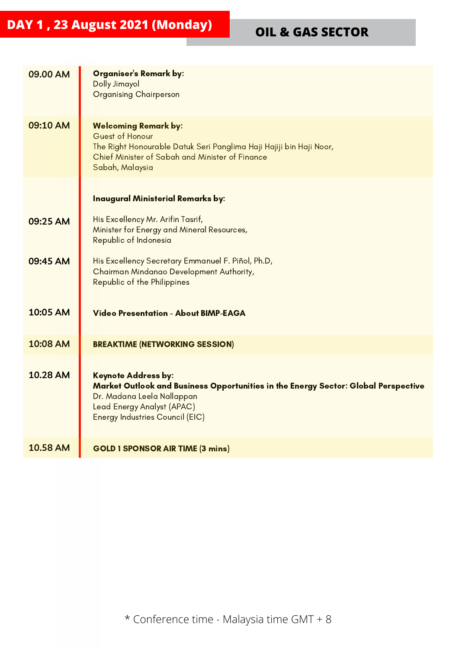| 09.00 AM        | <b>Organiser's Remark by:</b><br><b>Dolly Jimayol</b><br><b>Organising Chairperson</b>                                                                                                                                 |
|-----------------|------------------------------------------------------------------------------------------------------------------------------------------------------------------------------------------------------------------------|
| 09:10 AM        | <b>Welcoming Remark by:</b><br>Guest of Honour<br>The Right Honourable Datuk Seri Panglima Haji Hajiji bin Haji Noor,<br>Chief Minister of Sabah and Minister of Finance<br>Sabah, Malaysia                            |
|                 | <b>Inaugural Ministerial Remarks by:</b>                                                                                                                                                                               |
| 09:25 AM        | His Excellency Mr. Arifin Tasrif,<br>Minister for Energy and Mineral Resources,<br>Republic of Indonesia                                                                                                               |
| 09:45 AM        | His Excellency Secretary Emmanuel F. Piñol, Ph.D,<br>Chairman Mindanao Development Authority,<br>Republic of the Philippines                                                                                           |
| 10:05 AM        | <b>Video Presentation - About BIMP-EAGA</b>                                                                                                                                                                            |
| 10:08 AM        | <b>BREAKTIME (NETWORKING SESSION)</b>                                                                                                                                                                                  |
| 10.28 AM        | <b>Keynote Address by:</b><br>Market Outlook and Business Opportunities in the Energy Sector: Global Perspective<br>Dr. Madana Leela Nallappan<br>Lead Energy Analyst (APAC)<br><b>Energy Industries Council (EIC)</b> |
| <b>10.58 AM</b> | <b>GOLD 1 SPONSOR AIR TIME (3 mins)</b>                                                                                                                                                                                |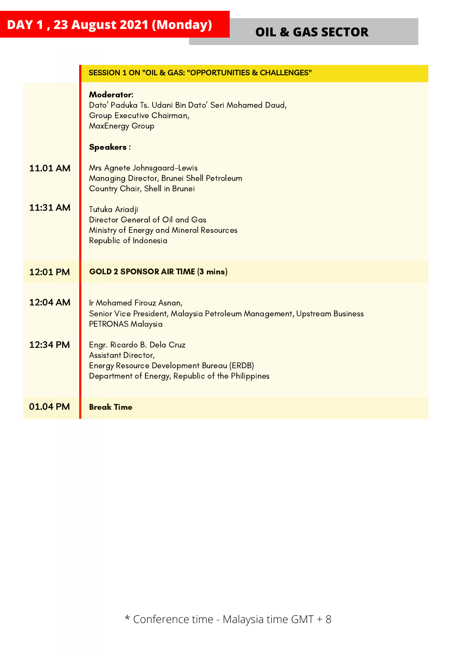|                 | <b>SESSION 1 ON "OIL &amp; GAS: "OPPORTUNITIES &amp; CHALLENGES"</b>                                                                                              |  |
|-----------------|-------------------------------------------------------------------------------------------------------------------------------------------------------------------|--|
|                 | <b>Moderator:</b><br>Dato' Paduka Ts. Udani Bin Dato' Seri Mohamed Daud,<br>Group Executive Chairman,<br><b>MaxEnergy Group</b>                                   |  |
|                 | <b>Speakers:</b>                                                                                                                                                  |  |
| <b>11.01 AM</b> | Mrs Agnete Johnsgaard-Lewis<br>Managing Director, Brunei Shell Petroleum<br>Country Chair, Shell in Brunei                                                        |  |
| 11:31 AM        | Tutuka Ariadji<br>Director General of Oil and Gas<br>Ministry of Energy and Mineral Resources<br>Republic of Indonesia                                            |  |
| 12:01 PM        | <b>GOLD 2 SPONSOR AIR TIME (3 mins)</b>                                                                                                                           |  |
| 12:04 AM        | Ir Mohamed Firouz Asnan,<br>Senior Vice President, Malaysia Petroleum Management, Upstream Business<br><b>PETRONAS Malaysia</b>                                   |  |
| 12:34 PM        | Engr. Ricardo B. Dela Cruz<br><b>Assistant Director,</b><br><b>Energy Resource Development Bureau (ERDB)</b><br>Department of Energy, Republic of the Philippines |  |
| 01.04 PM        | <b>Break Time</b>                                                                                                                                                 |  |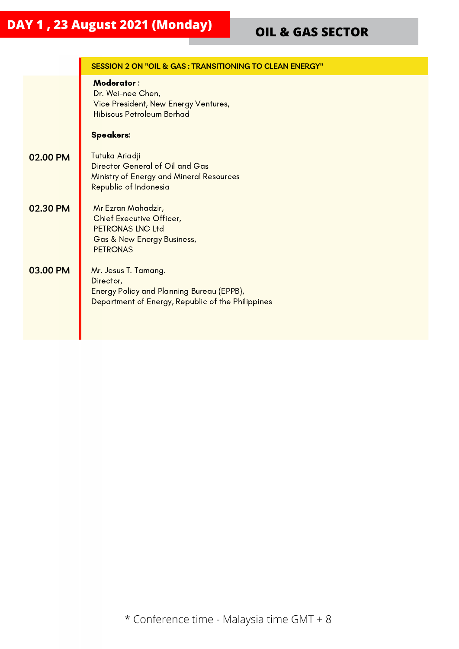|          | SESSION 2 ON "OIL & GAS: TRANSITIONING TO CLEAN ENERGY"                                                                                |  |
|----------|----------------------------------------------------------------------------------------------------------------------------------------|--|
|          | <b>Moderator:</b><br>Dr. Wei-nee Chen,<br>Vice President, New Energy Ventures,<br><b>Hibiscus Petroleum Berhad</b><br><b>Speakers:</b> |  |
| 02.00 PM | Tutuka Ariadji<br>Director General of Oil and Gas<br>Ministry of Energy and Mineral Resources<br>Republic of Indonesia                 |  |
| 02.30 PM | Mr Ezran Mahadzir,<br>Chief Executive Officer,<br>PETRONAS LNG Ltd<br><b>Gas &amp; New Energy Business,</b><br><b>PETRONAS</b>         |  |
| 03.00 PM | Mr. Jesus T. Tamang.<br>Director,<br>Energy Policy and Planning Bureau (EPPB),<br>Department of Energy, Republic of the Philippines    |  |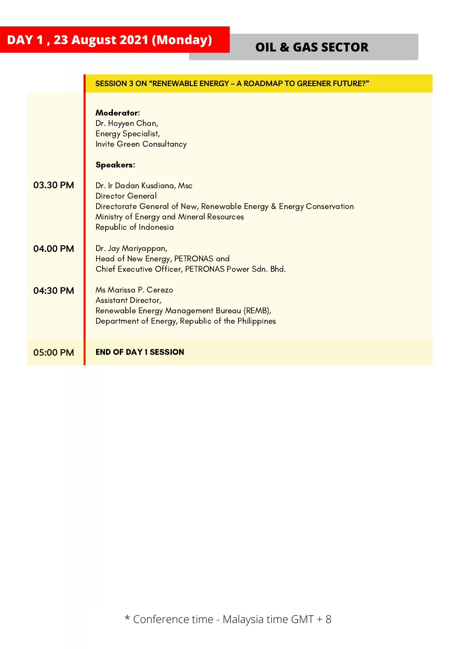|          | SESSION 3 ON "RENEWABLE ENERGY - A ROADMAP TO GREENER FUTURE?"                                                                                                                                   |  |
|----------|--------------------------------------------------------------------------------------------------------------------------------------------------------------------------------------------------|--|
|          | <b>Moderator:</b><br>Dr. Hoyyen Chan,<br><b>Energy Specialist,</b><br><b>Invite Green Consultancy</b>                                                                                            |  |
|          | <b>Speakers:</b>                                                                                                                                                                                 |  |
| 03.30 PM | Dr. Ir Dadan Kusdiana, Msc<br><b>Director General</b><br>Directorate General of New, Renewable Energy & Energy Conservation<br>Ministry of Energy and Mineral Resources<br>Republic of Indonesia |  |
| 04.00 PM | Dr. Jay Mariyappan,<br>Head of New Energy, PETRONAS and<br>Chief Executive Officer, PETRONAS Power Sdn. Bhd.                                                                                     |  |
| 04:30 PM | Ms Marissa P. Cerezo<br><b>Assistant Director,</b><br>Renewable Energy Management Bureau (REMB),<br>Department of Energy, Republic of the Philippines                                            |  |
| 05:00 PM | <b>END OF DAY 1 SESSION</b>                                                                                                                                                                      |  |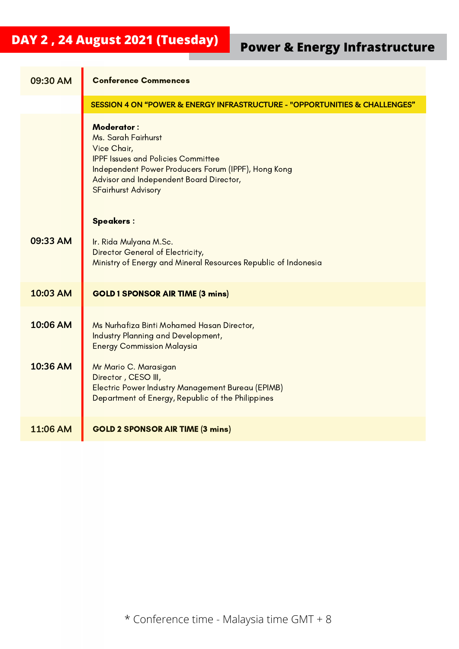### **DAY <sup>2</sup> , <sup>24</sup> August <sup>2021</sup> (Tuesday) Power & Energy Infrastructure**

| 09:30 AM             | <b>Conference Commences</b>                                                                                                                                                                                                          |  |
|----------------------|--------------------------------------------------------------------------------------------------------------------------------------------------------------------------------------------------------------------------------------|--|
|                      | SESSION 4 ON "POWER & ENERGY INFRASTRUCTURE - "OPPORTUNITIES & CHALLENGES"                                                                                                                                                           |  |
|                      | <b>Moderator:</b><br>Ms. Sarah Fairhurst<br>Vice Chair,<br><b>IPPF Issues and Policies Committee</b><br>Independent Power Producers Forum (IPPF), Hong Kong<br>Advisor and Independent Board Director,<br><b>SFairhurst Advisory</b> |  |
|                      | <b>Speakers:</b>                                                                                                                                                                                                                     |  |
| 09:33 AM             | Ir. Rida Mulyana M.Sc.<br>Director General of Electricity,<br>Ministry of Energy and Mineral Resources Republic of Indonesia                                                                                                         |  |
| 10:03 AM             | <b>GOLD 1 SPONSOR AIR TIME (3 mins)</b>                                                                                                                                                                                              |  |
| 10:06 AM<br>10:36 AM | Ms Nurhafiza Binti Mohamed Hasan Director,<br>Industry Planning and Development,<br><b>Energy Commission Malaysia</b><br>Mr Mario C. Marasigan<br>Director, CESO III,<br><b>Electric Power Industry Management Bureau (EPIMB)</b>    |  |
|                      | Department of Energy, Republic of the Philippines                                                                                                                                                                                    |  |
| 11:06 AM             | <b>GOLD 2 SPONSOR AIR TIME (3 mins)</b>                                                                                                                                                                                              |  |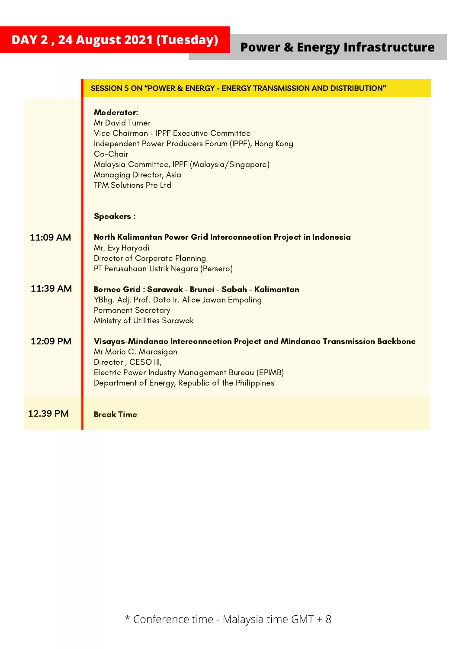|          | <b>SESSION 5 ON "POWER &amp; ENERGY - ENERGY TRANSMISSION AND DISTRIBUTION"</b>                                                                                                                                                                                                            |  |
|----------|--------------------------------------------------------------------------------------------------------------------------------------------------------------------------------------------------------------------------------------------------------------------------------------------|--|
|          | <b>Moderator:</b><br><b>Mr David Turner</b><br>Vice Chairman - IPPF Executive Committee<br>Independent Power Producers Forum (IPPF), Hong Kong<br>Co-Chair<br>Malaysia Committee, IPPF (Malaysia/Singapore)<br>Managing Director, Asia<br><b>TPM Solutions Pte Ltd</b><br><b>Speakers:</b> |  |
| 11:09 AM | North Kalimantan Power Grid Interconnection Project in Indonesia<br>Mr. Evy Haryadi<br><b>Director of Corporate Planning</b><br>PT Perusahaan Listrik Negara (Persero)                                                                                                                     |  |
| 11:39 AM | Borneo Grid : Sarawak - Brunei - Sabah - Kalimantan<br>YBhg. Adj. Prof. Dato Ir. Alice Jawan Empaling<br><b>Permanent Secretary</b><br>Ministry of Utilities Sarawak                                                                                                                       |  |
| 12:09 PM | Visayas-Mindanao Interconnection Project and Mindanao Transmission Backbone<br>Mr Mario C. Marasigan<br>Director, CESO III,<br>Electric Power Industry Management Bureau (EPIMB)<br>Department of Energy, Republic of the Philippines                                                      |  |
| 12.39 PM | <b>Break Time</b>                                                                                                                                                                                                                                                                          |  |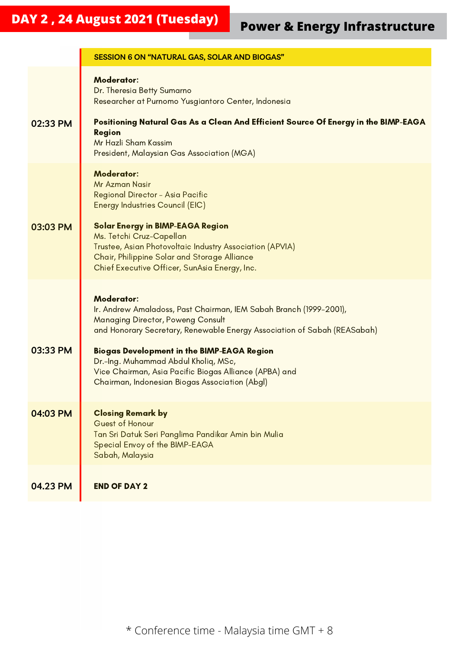# **DAY <sup>2</sup> , <sup>24</sup> August <sup>2021</sup> (Tuesday) Power & Energy Infrastructure**

|          | <b>SESSION 6 ON "NATURAL GAS, SOLAR AND BIOGAS"</b>                                                                                                                                                                                                                                                                                                                                                                      |  |
|----------|--------------------------------------------------------------------------------------------------------------------------------------------------------------------------------------------------------------------------------------------------------------------------------------------------------------------------------------------------------------------------------------------------------------------------|--|
| 02:33 PM | <b>Moderator:</b><br>Dr. Theresia Betty Sumarno<br>Researcher at Purnomo Yusgiantoro Center, Indonesia<br>Positioning Natural Gas As a Clean And Efficient Source Of Energy in the BIMP-EAGA<br><b>Region</b><br>Mr Hazli Sham Kassim<br>President, Malaysian Gas Association (MGA)                                                                                                                                      |  |
| 03:03 PM | <b>Moderator:</b><br><b>Mr Azman Nasir</b><br>Regional Director - Asia Pacific<br>Energy Industries Council (EIC)<br><b>Solar Energy in BIMP-EAGA Region</b><br>Ms. Tetchi Cruz-Capellan<br>Trustee, Asian Photovoltaic Industry Association (APVIA)<br>Chair, Philippine Solar and Storage Alliance<br>Chief Executive Officer, SunAsia Energy, Inc.                                                                    |  |
| 03:33 PM | <b>Moderator:</b><br>Ir. Andrew Amaladoss, Past Chairman, IEM Sabah Branch (1999-2001),<br><b>Managing Director, Poweng Consult</b><br>and Honorary Secretary, Renewable Energy Association of Sabah (REASabah)<br><b>Biogas Development in the BIMP-EAGA Region</b><br>Dr.-Ing. Muhammad Abdul Kholiq, MSc,<br>Vice Chairman, Asia Pacific Biogas Alliance (APBA) and<br>Chairman, Indonesian Biogas Association (Abgl) |  |
| 04:03 PM | <b>Closing Remark by</b><br>Guest of Honour<br>Tan Sri Datuk Seri Panglima Pandikar Amin bin Mulia<br>Special Envoy of the BIMP-EAGA<br>Sabah, Malaysia                                                                                                                                                                                                                                                                  |  |
| 04.23 PM | <b>END OF DAY 2</b>                                                                                                                                                                                                                                                                                                                                                                                                      |  |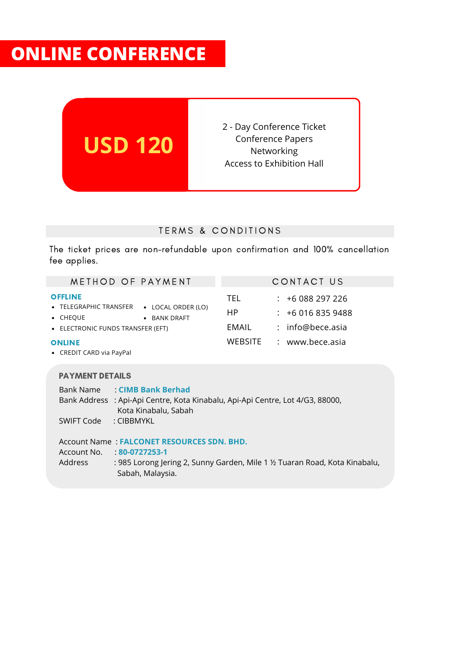### **ONLINE CONFERENCE**



### TERMS & CONDITIONS

The ticket prices are non-refundable upon confirmation and 100% cancellation fee applies.

| METHOD OF PAYMENT                                                                                                                                                  | CONTACT US                                                                                                    |  |  |  |
|--------------------------------------------------------------------------------------------------------------------------------------------------------------------|---------------------------------------------------------------------------------------------------------------|--|--|--|
| <b>OFFLINE</b><br>• TELEGRAPHIC TRANSFER • LOCAL ORDER (LO)<br>• CHEQUE<br>• BANK DRAFT<br>• ELECTRONIC FUNDS TRANSFER (EFT)<br><b>ONLINE</b>                      | TEL<br>$: +6088297226$<br>HP.<br>$:  +60168359488$<br>EMAIL<br>: info@bece.asia<br>WEBSITE<br>: www.bece.asia |  |  |  |
| • CREDIT CARD via PayPal                                                                                                                                           |                                                                                                               |  |  |  |
| <b>PAYMENT DETAILS</b>                                                                                                                                             |                                                                                                               |  |  |  |
| Bank Name : CIMB Bank Berhad<br>Bank Address : Api-Api Centre, Kota Kinabalu, Api-Api Centre, Lot 4/G3, 88000,<br>Kota Kinabalu, Sabah<br>SWIFT Code<br>: CIBBMYKL |                                                                                                               |  |  |  |
| <b>Account Name: FALCONET RESOURCES SDN. BHD.</b><br>Account No.<br>80-0727253-1                                                                                   |                                                                                                               |  |  |  |
| Address                                                                                                                                                            | : 985 Lorong Jering 2, Sunny Garden, Mile 1 ½ Tuaran Road, Kota Kinabalu,                                     |  |  |  |

Sabah, Malaysia.